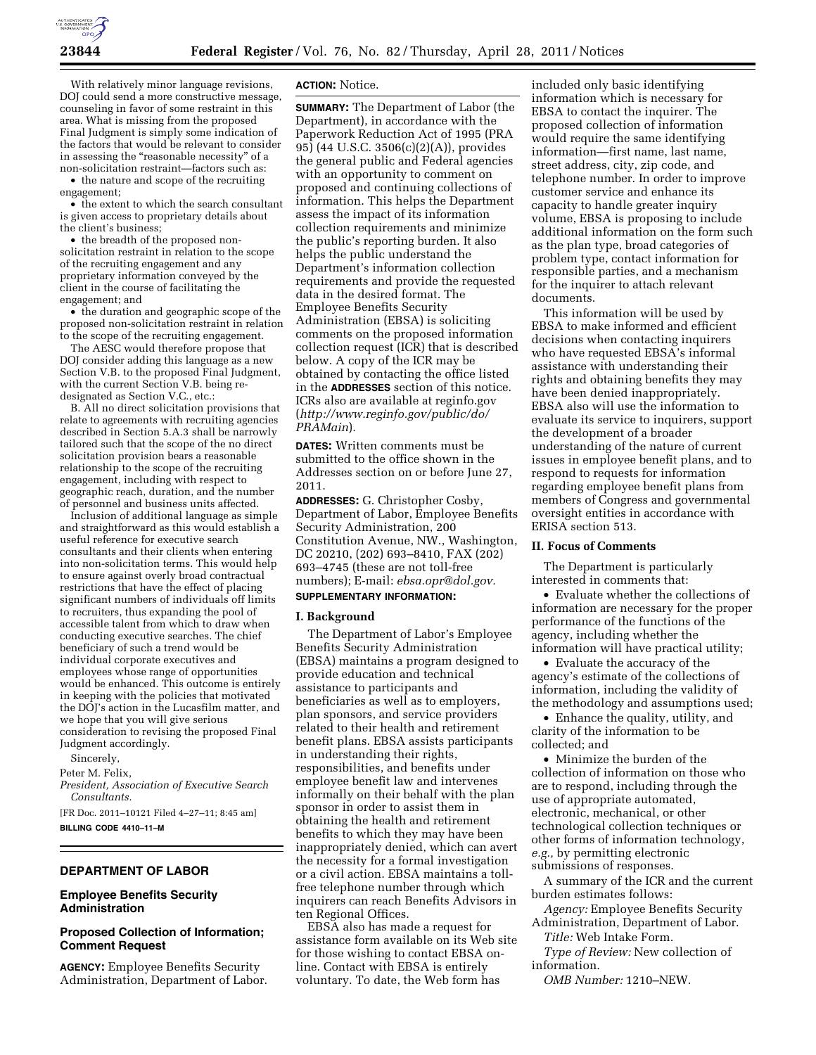

With relatively minor language revisions, DOJ could send a more constructive message, counseling in favor of some restraint in this area. What is missing from the proposed Final Judgment is simply some indication of the factors that would be relevant to consider in assessing the "reasonable necessity" of a non-solicitation restraint—factors such as:

• the nature and scope of the recruiting engagement;

• the extent to which the search consultant is given access to proprietary details about the client's business;

• the breadth of the proposed nonsolicitation restraint in relation to the scope of the recruiting engagement and any proprietary information conveyed by the client in the course of facilitating the engagement; and

• the duration and geographic scope of the proposed non-solicitation restraint in relation to the scope of the recruiting engagement.

The AESC would therefore propose that DOJ consider adding this language as a new Section V.B. to the proposed Final Judgment, with the current Section V.B. being redesignated as Section V.C., etc.:

B. All no direct solicitation provisions that relate to agreements with recruiting agencies described in Section 5.A.3 shall be narrowly tailored such that the scope of the no direct solicitation provision bears a reasonable relationship to the scope of the recruiting engagement, including with respect to geographic reach, duration, and the number of personnel and business units affected.

Inclusion of additional language as simple and straightforward as this would establish a useful reference for executive search consultants and their clients when entering into non-solicitation terms. This would help to ensure against overly broad contractual restrictions that have the effect of placing significant numbers of individuals off limits to recruiters, thus expanding the pool of accessible talent from which to draw when conducting executive searches. The chief beneficiary of such a trend would be individual corporate executives and employees whose range of opportunities would be enhanced. This outcome is entirely in keeping with the policies that motivated the DOJ's action in the Lucasfilm matter, and we hope that you will give serious consideration to revising the proposed Final Judgment accordingly.

Sincerely,

Peter M. Felix,

*President, Association of Executive Search Consultants.* 

[FR Doc. 2011–10121 Filed 4–27–11; 8:45 am] **BILLING CODE 4410–11–M** 

#### **DEPARTMENT OF LABOR**

### **Employee Benefits Security Administration**

# **Proposed Collection of Information; Comment Request**

**AGENCY:** Employee Benefits Security Administration, Department of Labor.

#### **ACTION:** Notice.

**SUMMARY:** The Department of Labor (the Department), in accordance with the Paperwork Reduction Act of 1995 (PRA 95) (44 U.S.C. 3506(c)(2)(A)), provides the general public and Federal agencies with an opportunity to comment on proposed and continuing collections of information. This helps the Department assess the impact of its information collection requirements and minimize the public's reporting burden. It also helps the public understand the Department's information collection requirements and provide the requested data in the desired format. The Employee Benefits Security Administration (EBSA) is soliciting comments on the proposed information collection request (ICR) that is described below. A copy of the ICR may be obtained by contacting the office listed in the **ADDRESSES** section of this notice. ICRs also are available at reginfo.gov (*[http://www.reginfo.gov/public/do/](http://www.reginfo.gov/public/do/PRAMain) [PRAMain](http://www.reginfo.gov/public/do/PRAMain)*).

**DATES:** Written comments must be submitted to the office shown in the Addresses section on or before June 27, 2011.

**ADDRESSES:** G. Christopher Cosby, Department of Labor, Employee Benefits Security Administration, 200 Constitution Avenue, NW., Washington, DC 20210, (202) 693–8410, FAX (202) 693–4745 (these are not toll-free numbers); E-mail: *[ebsa.opr@dol.gov.](mailto:ebsa.opr@dol.gov)*  **SUPPLEMENTARY INFORMATION:** 

# **I. Background**

The Department of Labor's Employee Benefits Security Administration (EBSA) maintains a program designed to provide education and technical assistance to participants and beneficiaries as well as to employers, plan sponsors, and service providers related to their health and retirement benefit plans. EBSA assists participants in understanding their rights, responsibilities, and benefits under employee benefit law and intervenes informally on their behalf with the plan sponsor in order to assist them in obtaining the health and retirement benefits to which they may have been inappropriately denied, which can avert the necessity for a formal investigation or a civil action. EBSA maintains a tollfree telephone number through which inquirers can reach Benefits Advisors in ten Regional Offices.

EBSA also has made a request for assistance form available on its Web site for those wishing to contact EBSA online. Contact with EBSA is entirely voluntary. To date, the Web form has

included only basic identifying information which is necessary for EBSA to contact the inquirer. The proposed collection of information would require the same identifying information—first name, last name, street address, city, zip code, and telephone number. In order to improve customer service and enhance its capacity to handle greater inquiry volume, EBSA is proposing to include additional information on the form such as the plan type, broad categories of problem type, contact information for responsible parties, and a mechanism for the inquirer to attach relevant documents.

This information will be used by EBSA to make informed and efficient decisions when contacting inquirers who have requested EBSA's informal assistance with understanding their rights and obtaining benefits they may have been denied inappropriately. EBSA also will use the information to evaluate its service to inquirers, support the development of a broader understanding of the nature of current issues in employee benefit plans, and to respond to requests for information regarding employee benefit plans from members of Congress and governmental oversight entities in accordance with ERISA section 513.

#### **II. Focus of Comments**

The Department is particularly interested in comments that:

• Evaluate whether the collections of information are necessary for the proper performance of the functions of the agency, including whether the information will have practical utility;

• Evaluate the accuracy of the agency's estimate of the collections of information, including the validity of the methodology and assumptions used;

• Enhance the quality, utility, and clarity of the information to be collected; and

• Minimize the burden of the collection of information on those who are to respond, including through the use of appropriate automated, electronic, mechanical, or other technological collection techniques or other forms of information technology, *e.g.,* by permitting electronic submissions of responses.

A summary of the ICR and the current burden estimates follows:

*Agency:* Employee Benefits Security Administration, Department of Labor. *Title:* Web Intake Form.

*Type of Review:* New collection of information.

*OMB Number:* 1210–NEW.